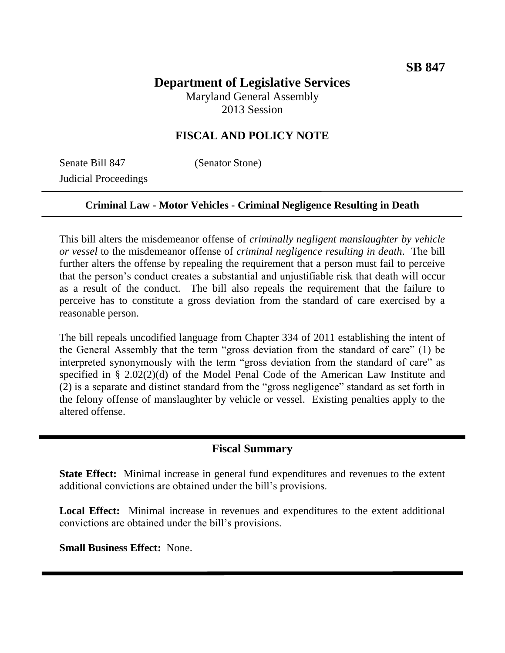# **Department of Legislative Services** Maryland General Assembly

2013 Session

# **FISCAL AND POLICY NOTE**

Senate Bill 847 (Senator Stone) Judicial Proceedings

## **Criminal Law - Motor Vehicles - Criminal Negligence Resulting in Death**

This bill alters the misdemeanor offense of *criminally negligent manslaughter by vehicle or vessel* to the misdemeanor offense of *criminal negligence resulting in death*. The bill further alters the offense by repealing the requirement that a person must fail to perceive that the person's conduct creates a substantial and unjustifiable risk that death will occur as a result of the conduct. The bill also repeals the requirement that the failure to perceive has to constitute a gross deviation from the standard of care exercised by a reasonable person.

The bill repeals uncodified language from Chapter 334 of 2011 establishing the intent of the General Assembly that the term "gross deviation from the standard of care" (1) be interpreted synonymously with the term "gross deviation from the standard of care" as specified in § 2.02(2)(d) of the Model Penal Code of the American Law Institute and (2) is a separate and distinct standard from the "gross negligence" standard as set forth in the felony offense of manslaughter by vehicle or vessel. Existing penalties apply to the altered offense.

#### **Fiscal Summary**

**State Effect:** Minimal increase in general fund expenditures and revenues to the extent additional convictions are obtained under the bill's provisions.

**Local Effect:** Minimal increase in revenues and expenditures to the extent additional convictions are obtained under the bill's provisions.

**Small Business Effect:** None.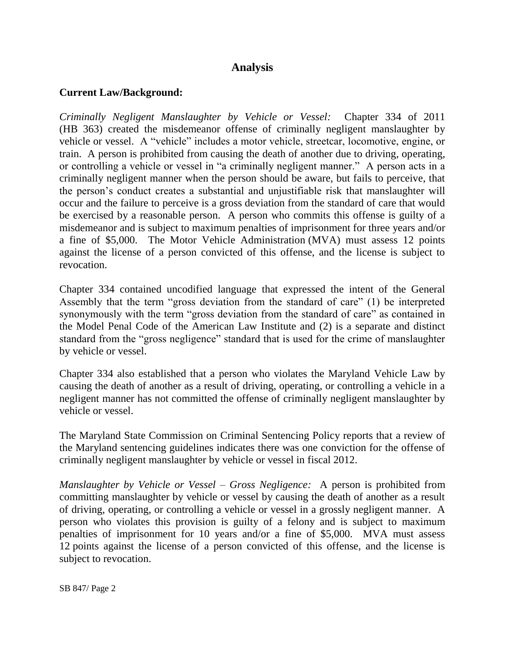# **Analysis**

### **Current Law/Background:**

*Criminally Negligent Manslaughter by Vehicle or Vessel:* Chapter 334 of 2011 (HB 363) created the misdemeanor offense of criminally negligent manslaughter by vehicle or vessel. A "vehicle" includes a motor vehicle, streetcar, locomotive, engine, or train. A person is prohibited from causing the death of another due to driving, operating, or controlling a vehicle or vessel in "a criminally negligent manner." A person acts in a criminally negligent manner when the person should be aware, but fails to perceive, that the person's conduct creates a substantial and unjustifiable risk that manslaughter will occur and the failure to perceive is a gross deviation from the standard of care that would be exercised by a reasonable person. A person who commits this offense is guilty of a misdemeanor and is subject to maximum penalties of imprisonment for three years and/or a fine of \$5,000. The Motor Vehicle Administration (MVA) must assess 12 points against the license of a person convicted of this offense, and the license is subject to revocation.

Chapter 334 contained uncodified language that expressed the intent of the General Assembly that the term "gross deviation from the standard of care" (1) be interpreted synonymously with the term "gross deviation from the standard of care" as contained in the Model Penal Code of the American Law Institute and (2) is a separate and distinct standard from the "gross negligence" standard that is used for the crime of manslaughter by vehicle or vessel.

Chapter 334 also established that a person who violates the Maryland Vehicle Law by causing the death of another as a result of driving, operating, or controlling a vehicle in a negligent manner has not committed the offense of criminally negligent manslaughter by vehicle or vessel.

The Maryland State Commission on Criminal Sentencing Policy reports that a review of the Maryland sentencing guidelines indicates there was one conviction for the offense of criminally negligent manslaughter by vehicle or vessel in fiscal 2012.

*Manslaughter by Vehicle or Vessel – Gross Negligence:* A person is prohibited from committing manslaughter by vehicle or vessel by causing the death of another as a result of driving, operating, or controlling a vehicle or vessel in a grossly negligent manner. A person who violates this provision is guilty of a felony and is subject to maximum penalties of imprisonment for 10 years and/or a fine of \$5,000. MVA must assess 12 points against the license of a person convicted of this offense, and the license is subject to revocation.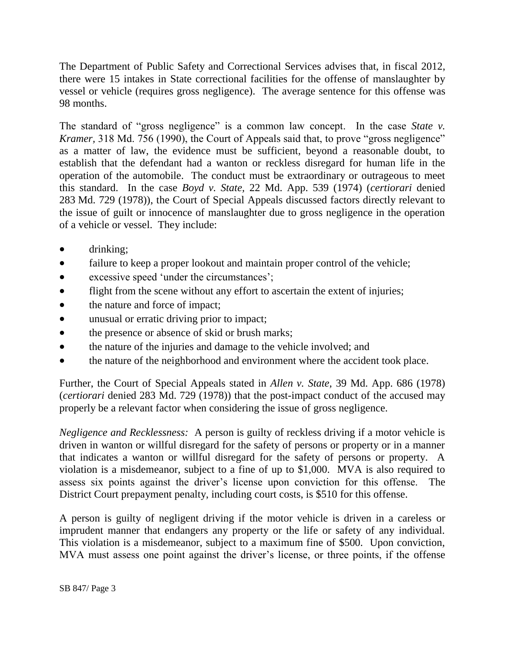The Department of Public Safety and Correctional Services advises that, in fiscal 2012, there were 15 intakes in State correctional facilities for the offense of manslaughter by vessel or vehicle (requires gross negligence). The average sentence for this offense was 98 months.

The standard of "gross negligence" is a common law concept. In the case *State v*. *Kramer*, 318 Md. 756 (1990), the Court of Appeals said that, to prove "gross negligence" as a matter of law, the evidence must be sufficient, beyond a reasonable doubt, to establish that the defendant had a wanton or reckless disregard for human life in the operation of the automobile. The conduct must be extraordinary or outrageous to meet this standard. In the case *Boyd v. State,* 22 Md. App. 539 (1974) (*certiorari* denied 283 Md. 729 (1978)), the Court of Special Appeals discussed factors directly relevant to the issue of guilt or innocence of manslaughter due to gross negligence in the operation of a vehicle or vessel. They include:

- drinking;
- failure to keep a proper lookout and maintain proper control of the vehicle;
- excessive speed 'under the circumstances';
- flight from the scene without any effort to ascertain the extent of injuries;
- the nature and force of impact;
- unusual or erratic driving prior to impact;
- the presence or absence of skid or brush marks;
- the nature of the injuries and damage to the vehicle involved; and
- the nature of the neighborhood and environment where the accident took place.

Further, the Court of Special Appeals stated in *Allen v. State,* 39 Md. App. 686 (1978) (*certiorari* denied 283 Md. 729 (1978)) that the post-impact conduct of the accused may properly be a relevant factor when considering the issue of gross negligence.

*Negligence and Recklessness:* A person is guilty of reckless driving if a motor vehicle is driven in wanton or willful disregard for the safety of persons or property or in a manner that indicates a wanton or willful disregard for the safety of persons or property. A violation is a misdemeanor, subject to a fine of up to \$1,000. MVA is also required to assess six points against the driver's license upon conviction for this offense.The District Court prepayment penalty, including court costs, is \$510 for this offense.

A person is guilty of negligent driving if the motor vehicle is driven in a careless or imprudent manner that endangers any property or the life or safety of any individual. This violation is a misdemeanor, subject to a maximum fine of \$500. Upon conviction, MVA must assess one point against the driver's license, or three points, if the offense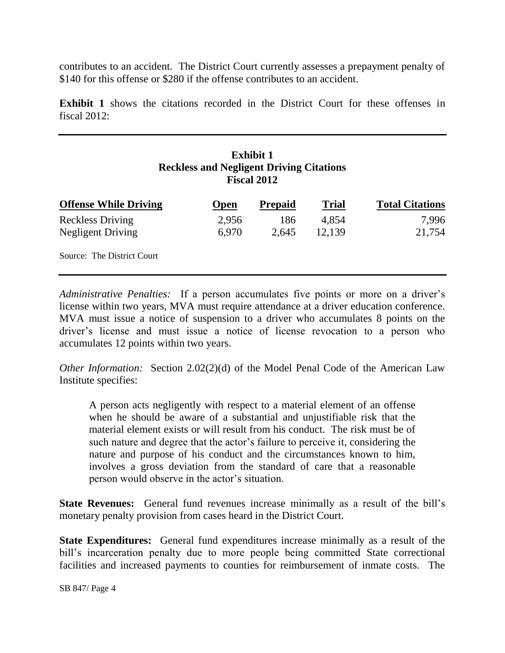contributes to an accident. The District Court currently assesses a prepayment penalty of \$140 for this offense or \$280 if the offense contributes to an accident.

**Exhibit 1** shows the citations recorded in the District Court for these offenses in fiscal 2012:

## **Exhibit 1 Reckless and Negligent Driving Citations Fiscal 2012**

| <b>Offense While Driving</b> | <b>Open</b> | <b>Prepaid</b> | <b>Trial</b> | <b>Total Citations</b> |
|------------------------------|-------------|----------------|--------------|------------------------|
| <b>Reckless Driving</b>      | 2,956       | 186            | 4.854        | 7,996                  |
| Negligent Driving            | 6.970       | 2.645          | 12,139       | 21,754                 |
| Source: The District Court   |             |                |              |                        |

*Administrative Penalties:* If a person accumulates five points or more on a driver's license within two years, MVA must require attendance at a driver education conference. MVA must issue a notice of suspension to a driver who accumulates 8 points on the driver's license and must issue a notice of license revocation to a person who accumulates 12 points within two years.

*Other Information:* Section 2.02(2)(d) of the Model Penal Code of the American Law Institute specifies:

A person acts negligently with respect to a material element of an offense when he should be aware of a substantial and unjustifiable risk that the material element exists or will result from his conduct. The risk must be of such nature and degree that the actor's failure to perceive it, considering the nature and purpose of his conduct and the circumstances known to him, involves a gross deviation from the standard of care that a reasonable person would observe in the actor's situation.

**State Revenues:** General fund revenues increase minimally as a result of the bill's monetary penalty provision from cases heard in the District Court.

**State Expenditures:** General fund expenditures increase minimally as a result of the bill's incarceration penalty due to more people being committed State correctional facilities and increased payments to counties for reimbursement of inmate costs. The

SB 847/ Page 4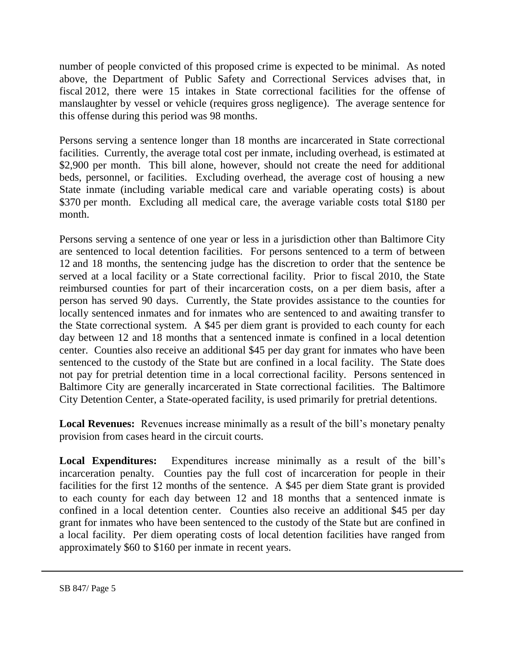number of people convicted of this proposed crime is expected to be minimal. As noted above, the Department of Public Safety and Correctional Services advises that, in fiscal 2012, there were 15 intakes in State correctional facilities for the offense of manslaughter by vessel or vehicle (requires gross negligence). The average sentence for this offense during this period was 98 months.

Persons serving a sentence longer than 18 months are incarcerated in State correctional facilities. Currently, the average total cost per inmate, including overhead, is estimated at \$2,900 per month. This bill alone, however, should not create the need for additional beds, personnel, or facilities. Excluding overhead, the average cost of housing a new State inmate (including variable medical care and variable operating costs) is about \$370 per month. Excluding all medical care, the average variable costs total \$180 per month.

Persons serving a sentence of one year or less in a jurisdiction other than Baltimore City are sentenced to local detention facilities. For persons sentenced to a term of between 12 and 18 months, the sentencing judge has the discretion to order that the sentence be served at a local facility or a State correctional facility. Prior to fiscal 2010, the State reimbursed counties for part of their incarceration costs, on a per diem basis, after a person has served 90 days. Currently, the State provides assistance to the counties for locally sentenced inmates and for inmates who are sentenced to and awaiting transfer to the State correctional system. A \$45 per diem grant is provided to each county for each day between 12 and 18 months that a sentenced inmate is confined in a local detention center. Counties also receive an additional \$45 per day grant for inmates who have been sentenced to the custody of the State but are confined in a local facility. The State does not pay for pretrial detention time in a local correctional facility. Persons sentenced in Baltimore City are generally incarcerated in State correctional facilities. The Baltimore City Detention Center, a State-operated facility, is used primarily for pretrial detentions.

**Local Revenues:** Revenues increase minimally as a result of the bill's monetary penalty provision from cases heard in the circuit courts.

**Local Expenditures:** Expenditures increase minimally as a result of the bill's incarceration penalty. Counties pay the full cost of incarceration for people in their facilities for the first 12 months of the sentence. A \$45 per diem State grant is provided to each county for each day between 12 and 18 months that a sentenced inmate is confined in a local detention center. Counties also receive an additional \$45 per day grant for inmates who have been sentenced to the custody of the State but are confined in a local facility. Per diem operating costs of local detention facilities have ranged from approximately \$60 to \$160 per inmate in recent years.